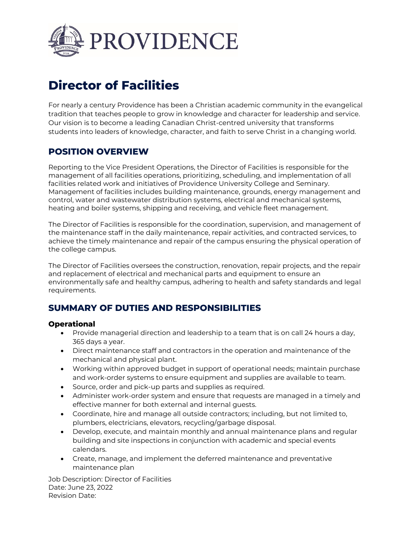

# **Director of Facilities**

For nearly a century Providence has been a Christian academic community in the evangelical tradition that teaches people to grow in knowledge and character for leadership and service. Our vision is to become a leading Canadian Christ-centred university that transforms students into leaders of knowledge, character, and faith to serve Christ in a changing world.

# **POSITION OVERVIEW**

Reporting to the Vice President Operations, the Director of Facilities is responsible for the management of all facilities operations, prioritizing, scheduling, and implementation of all facilities related work and initiatives of Providence University College and Seminary. Management of facilities includes building maintenance, grounds, energy management and control, water and wastewater distribution systems, electrical and mechanical systems, heating and boiler systems, shipping and receiving, and vehicle fleet management.

The Director of Facilities is responsible for the coordination, supervision, and management of the maintenance staff in the daily maintenance, repair activities, and contracted services, to achieve the timely maintenance and repair of the campus ensuring the physical operation of the college campus.

The Director of Facilities oversees the construction, renovation, repair projects, and the repair and replacement of electrical and mechanical parts and equipment to ensure an environmentally safe and healthy campus, adhering to health and safety standards and legal requirements.

# **SUMMARY OF DUTIES AND RESPONSIBILITIES**

## **Operational**

- Provide managerial direction and leadership to a team that is on call 24 hours a day, 365 days a year.
- Direct maintenance staff and contractors in the operation and maintenance of the mechanical and physical plant.
- Working within approved budget in support of operational needs; maintain purchase and work-order systems to ensure equipment and supplies are available to team.
- Source, order and pick-up parts and supplies as required.
- Administer work-order system and ensure that requests are managed in a timely and effective manner for both external and internal guests.
- Coordinate, hire and manage all outside contractors; including, but not limited to, plumbers, electricians, elevators, recycling/garbage disposal.
- Develop, execute, and maintain monthly and annual maintenance plans and regular building and site inspections in conjunction with academic and special events calendars.
- Create, manage, and implement the deferred maintenance and preventative maintenance plan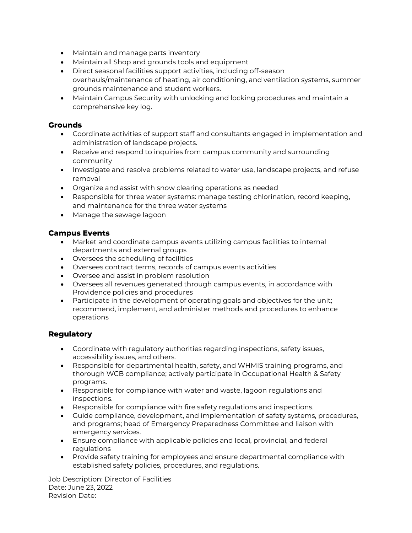- Maintain and manage parts inventory
- Maintain all Shop and grounds tools and equipment
- Direct seasonal facilities support activities, including off-season overhauls/maintenance of heating, air conditioning, and ventilation systems, summer grounds maintenance and student workers.
- Maintain Campus Security with unlocking and locking procedures and maintain a comprehensive key log.

#### **Grounds**

- Coordinate activities of support staff and consultants engaged in implementation and administration of landscape projects.
- Receive and respond to inquiries from campus community and surrounding community
- Investigate and resolve problems related to water use, landscape projects, and refuse removal
- Organize and assist with snow clearing operations as needed
- Responsible for three water systems: manage testing chlorination, record keeping, and maintenance for the three water systems
- Manage the sewage lagoon

## **Campus Events**

- Market and coordinate campus events utilizing campus facilities to internal departments and external groups
- Oversees the scheduling of facilities
- Oversees contract terms, records of campus events activities
- Oversee and assist in problem resolution
- Oversees all revenues generated through campus events, in accordance with Providence policies and procedures
- Participate in the development of operating goals and objectives for the unit; recommend, implement, and administer methods and procedures to enhance operations

## **Regulatory**

- Coordinate with regulatory authorities regarding inspections, safety issues, accessibility issues, and others.
- Responsible for departmental health, safety, and WHMIS training programs, and thorough WCB compliance; actively participate in Occupational Health & Safety programs.
- Responsible for compliance with water and waste, lagoon regulations and inspections.
- Responsible for compliance with fire safety regulations and inspections.
- Guide compliance, development, and implementation of safety systems, procedures, and programs; head of Emergency Preparedness Committee and liaison with emergency services.
- Ensure compliance with applicable policies and local, provincial, and federal regulations
- Provide safety training for employees and ensure departmental compliance with established safety policies, procedures, and regulations.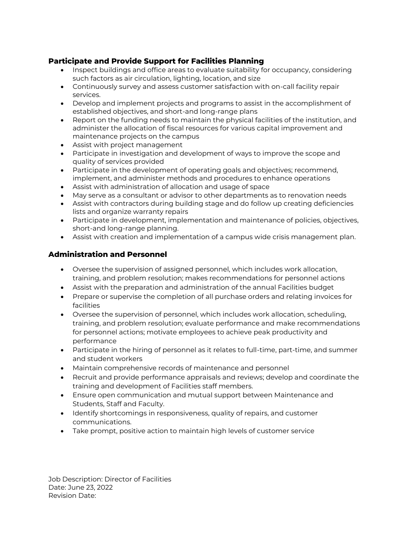## **Participate and Provide Support for Facilities Planning**

- Inspect buildings and office areas to evaluate suitability for occupancy, considering such factors as air circulation, lighting, location, and size
- Continuously survey and assess customer satisfaction with on-call facility repair services.
- Develop and implement projects and programs to assist in the accomplishment of established objectives, and short-and long-range plans
- Report on the funding needs to maintain the physical facilities of the institution, and administer the allocation of fiscal resources for various capital improvement and maintenance projects on the campus
- Assist with project management
- Participate in investigation and development of ways to improve the scope and quality of services provided
- Participate in the development of operating goals and objectives; recommend, implement, and administer methods and procedures to enhance operations
- Assist with administration of allocation and usage of space
- May serve as a consultant or advisor to other departments as to renovation needs
- Assist with contractors during building stage and do follow up creating deficiencies lists and organize warranty repairs
- Participate in development, implementation and maintenance of policies, objectives, short-and long-range planning.
- Assist with creation and implementation of a campus wide crisis management plan.

## **Administration and Personnel**

- Oversee the supervision of assigned personnel, which includes work allocation, training, and problem resolution; makes recommendations for personnel actions
- Assist with the preparation and administration of the annual Facilities budget
- Prepare or supervise the completion of all purchase orders and relating invoices for facilities
- Oversee the supervision of personnel, which includes work allocation, scheduling, training, and problem resolution; evaluate performance and make recommendations for personnel actions; motivate employees to achieve peak productivity and performance
- Participate in the hiring of personnel as it relates to full-time, part-time, and summer and student workers
- Maintain comprehensive records of maintenance and personnel
- Recruit and provide performance appraisals and reviews; develop and coordinate the training and development of Facilities staff members.
- Ensure open communication and mutual support between Maintenance and Students, Staff and Faculty.
- Identify shortcomings in responsiveness, quality of repairs, and customer communications.
- Take prompt, positive action to maintain high levels of customer service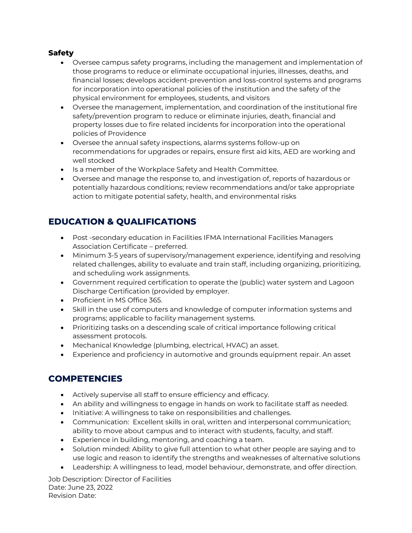## **Safety**

- Oversee campus safety programs, including the management and implementation of those programs to reduce or eliminate occupational injuries, illnesses, deaths, and financial losses; develops accident-prevention and loss-control systems and programs for incorporation into operational policies of the institution and the safety of the physical environment for employees, students, and visitors
- Oversee the management, implementation, and coordination of the institutional fire safety/prevention program to reduce or eliminate injuries, death, financial and property losses due to fire related incidents for incorporation into the operational policies of Providence
- Oversee the annual safety inspections, alarms systems follow-up on recommendations for upgrades or repairs, ensure first aid kits, AED are working and well stocked
- Is a member of the Workplace Safety and Health Committee.
- Oversee and manage the response to, and investigation of, reports of hazardous or potentially hazardous conditions; review recommendations and/or take appropriate action to mitigate potential safety, health, and environmental risks

# **EDUCATION & QUALIFICATIONS**

- Post -secondary education in Facilities IFMA International Facilities Managers Association Certificate – preferred.
- Minimum 3-5 years of supervisory/management experience, identifying and resolving related challenges, ability to evaluate and train staff, including organizing, prioritizing, and scheduling work assignments.
- Government required certification to operate the (public) water system and Lagoon Discharge Certification (provided by employer.
- Proficient in MS Office 365.
- Skill in the use of computers and knowledge of computer information systems and programs; applicable to facility management systems.
- Prioritizing tasks on a descending scale of critical importance following critical assessment protocols.
- Mechanical Knowledge (plumbing, electrical, HVAC) an asset.
- Experience and proficiency in automotive and grounds equipment repair. An asset

# **COMPETENCIES**

- Actively supervise all staff to ensure efficiency and efficacy.
- An ability and willingness to engage in hands on work to facilitate staff as needed.
- Initiative: A willingness to take on responsibilities and challenges.
- Communication: Excellent skills in oral, written and interpersonal communication; ability to move about campus and to interact with students, faculty, and staff.
- Experience in building, mentoring, and coaching a team.
- Solution minded: Ability to give full attention to what other people are saying and to use logic and reason to identify the strengths and weaknesses of alternative solutions
- Leadership: A willingness to lead, model behaviour, demonstrate, and offer direction.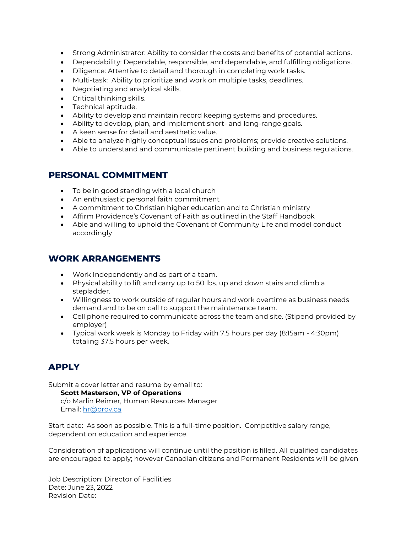- Strong Administrator: Ability to consider the costs and benefits of potential actions.
- Dependability: Dependable, responsible, and dependable, and fulfilling obligations.
- Diligence: Attentive to detail and thorough in completing work tasks.
- Multi-task: Ability to prioritize and work on multiple tasks, deadlines.
- Negotiating and analytical skills.
- Critical thinking skills.
- Technical aptitude.
- Ability to develop and maintain record keeping systems and procedures.
- Ability to develop, plan, and implement short- and long-range goals.
- A keen sense for detail and aesthetic value.
- Able to analyze highly conceptual issues and problems; provide creative solutions.
- Able to understand and communicate pertinent building and business regulations.

# **PERSONAL COMMITMENT**

- To be in good standing with a local church
- An enthusiastic personal faith commitment
- A commitment to Christian higher education and to Christian ministry
- Affirm Providence's Covenant of Faith as outlined in the Staff Handbook
- Able and willing to uphold the Covenant of Community Life and model conduct accordingly

## **WORK ARRANGEMENTS**

- Work Independently and as part of a team.
- Physical ability to lift and carry up to 50 lbs. up and down stairs and climb a stepladder.
- Willingness to work outside of regular hours and work overtime as business needs demand and to be on call to support the maintenance team.
- Cell phone required to communicate across the team and site. (Stipend provided by employer)
- Typical work week is Monday to Friday with 7.5 hours per day (8:15am 4:30pm) totaling 37.5 hours per week.

# **APPLY**

Submit a cover letter and resume by email to:

#### **Scott Masterson, VP of Operations**

c/o Marlin Reimer, Human Resources Manager Email: [hr@prov.ca](mailto:hr@prov.ca)

Start date: As soon as possible. This is a full-time position. Competitive salary range, dependent on education and experience.

Consideration of applications will continue until the position is filled. All qualified candidates are encouraged to apply; however Canadian citizens and Permanent Residents will be given